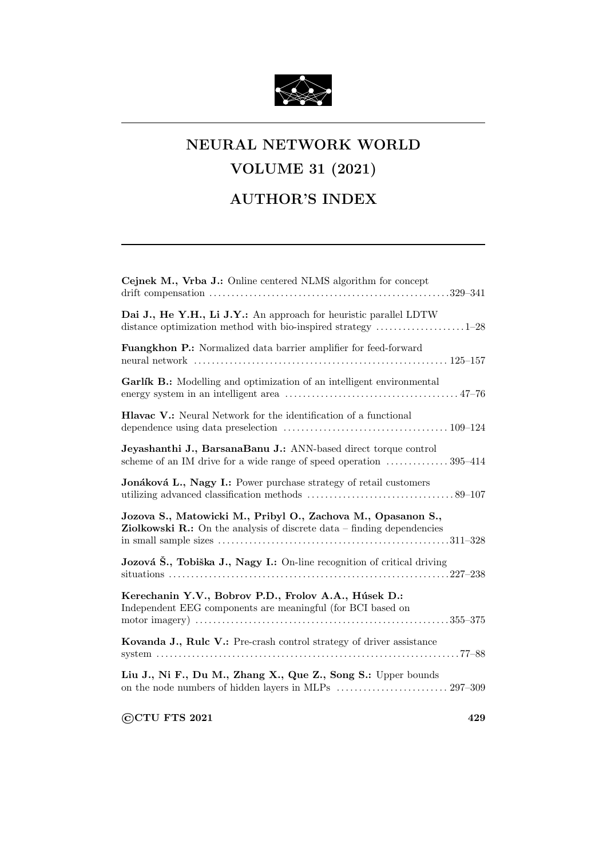

## NEURAL NETWORK WORLD

## VOLUME 31 (2021)

## AUTHOR'S INDEX

| Cejnek M., Vrba J.: Online centered NLMS algorithm for concept                                                                                                    |
|-------------------------------------------------------------------------------------------------------------------------------------------------------------------|
| Dai J., He Y.H., Li J.Y.: An approach for heuristic parallel LDTW<br>distance optimization method with bio-inspired strategy $\dots\dots\dots\dots\dots\dots1-28$ |
| Fuangkhon P.: Normalized data barrier amplifier for feed-forward                                                                                                  |
| Garlík B.: Modelling and optimization of an intelligent environmental                                                                                             |
| Hlavac V.: Neural Network for the identification of a functional                                                                                                  |
| Jeyashanthi J., BarsanaBanu J.: ANN-based direct torque control<br>scheme of an IM drive for a wide range of speed operation  395–414                             |
| Jonáková L., Nagy I.: Power purchase strategy of retail customers                                                                                                 |
| Jozova S., Matowicki M., Pribyl O., Zachova M., Opasanon S.,<br><b>Ziolkowski R.:</b> On the analysis of discrete data $-$ finding dependencies                   |
| Jozová Š., Tobiška J., Nagy I.: On-line recognition of critical driving                                                                                           |
| Kerechanin Y.V., Bobrov P.D., Frolov A.A., Húsek D.:<br>Independent EEG components are meaningful (for BCI based on                                               |
| Kovanda J., Rule V.: Pre-crash control strategy of driver assistance                                                                                              |
| Liu J., Ni F., Du M., Zhang X., Que Z., Song S.: Upper bounds                                                                                                     |
| <b>CCTU FTS 2021</b><br>429                                                                                                                                       |